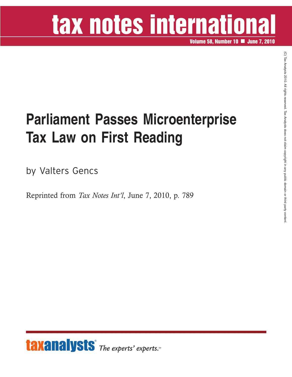## tax notes international

**Volume 58, Number 10 June 7, 2010**

## **Parliament Passes Microenterprise Tax Law on First Reading**

by Valters Gencs

Reprinted from *Tax Notes Int'l*, June 7, 2010, p. 789



 $\widehat{\Omega}$